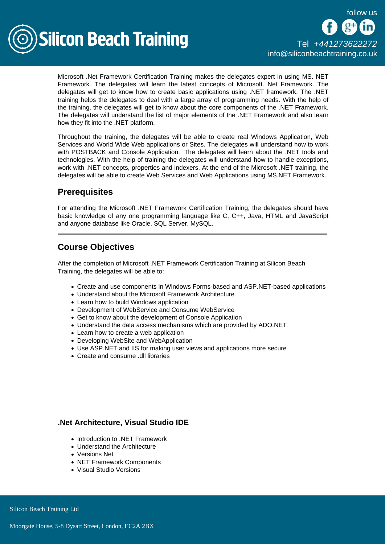

Microsoft .Net Framework Certification Training makes the delegates expert in using MS. NET Framework. The delegates will learn the latest concepts of Microsoft. Net Framework. The delegates will get to know how to create basic applications using .NET framework. The .NET training helps the delegates to deal with a large array of programming needs. With the help of the training, the delegates will get to know about the core components of the .NET Framework. The delegates will understand the list of major elements of the .NET Framework and also learn how they fit into the .NET platform.

Throughout the training, the delegates will be able to create real Windows Application, Web Services and World Wide Web applications or Sites. The delegates will understand how to work with POSTBACK and Console Application. The delegates will learn about the .NET tools and technologies. With the help of training the delegates will understand how to handle exceptions, work with .NET concepts, properties and indexers. At the end of the Microsoft .NET training, the delegates will be able to create Web Services and Web Applications using MS.NET Framework.

## **Prerequisites**

For attending the Microsoft .NET Framework Certification Training, the delegates should have basic knowledge of any one programming language like C, C++, Java, HTML and JavaScript and anyone database like Oracle, SQL Server, MySQL.

# Course Objectives

After the completion of Microsoft .NET Framework Certification Training at Silicon Beach Training, the delegates will be able to:

- Create and use components in Windows Forms-based and ASP.NET-based applications
- Understand about the Microsoft Framework Architecture
- Learn how to build Windows application
- Development of WebService and Consume WebService
- Get to know about the development of Console Application
- Understand the data access mechanisms which are provided by ADO.NET
- Learn how to create a web application
- Developing WebSite and WebApplication
- Use ASP.NET and IIS for making user views and applications more secure
- Create and consume .dll libraries

#### .Net Architecture, Visual Studio IDE

- Introduction to .NET Framework
- Understand the Architecture
- Versions Net
- NET Framework Components
- Visual Studio Versions

Silicon Beach Training Ltd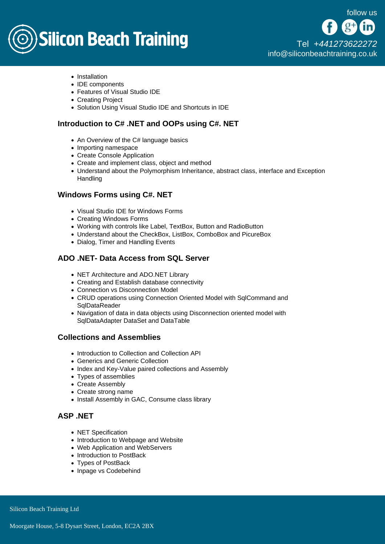# **Silicon Beach Training**

- Installation
- IDE components
- Features of Visual Studio IDE
- Creating Project
- Solution Using Visual Studio IDE and Shortcuts in IDE

#### Introduction to C# .NET and OOPs using C#. NET

- An Overview of the C# language basics
- Importing namespace
- Create Console Application
- Create and implement class, object and method
- Understand about the Polymorphism Inheritance, abstract class, interface and Exception **Handling**

#### Windows Forms using C#. NET

- Visual Studio IDE for Windows Forms
- Creating Windows Forms
- Working with controls like Label, TextBox, Button and RadioButton
- Understand about the CheckBox, ListBox, ComboBox and PicureBox
- Dialog, Timer and Handling Events

### ADO .NET- Data Access from SQL Server

- NET Architecture and ADO.NET Library
- Creating and Establish database connectivity
- Connection vs Disconnection Model
- CRUD operations using Connection Oriented Model with SqlCommand and **SqlDataReader**
- Navigation of data in data objects using Disconnection oriented model with SqlDataAdapter DataSet and DataTable

#### Collections and Assemblies

- Introduction to Collection and Collection API
- Generics and Generic Collection
- Index and Key-Value paired collections and Assembly
- Types of assemblies
- Create Assembly
- Create strong name
- Install Assembly in GAC, Consume class library

## ASP NFT

- NET Specification
- Introduction to Webpage and Website
- Web Application and WebServers
- Introduction to PostBack
- Types of PostBack
- Inpage vs Codebehind

Silicon Beach Training Ltd